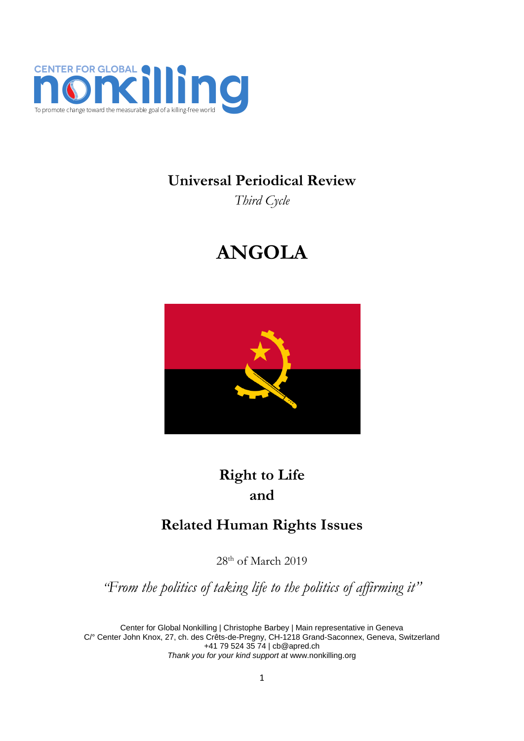

**Universal Periodical Review**

*Third Cycle*

# **ANGOLA**



## **Right to Life and**

### **Related Human Rights Issues**

28<sup>th</sup> of March 2019

*"From the politics of taking life to the politics of affirming it"*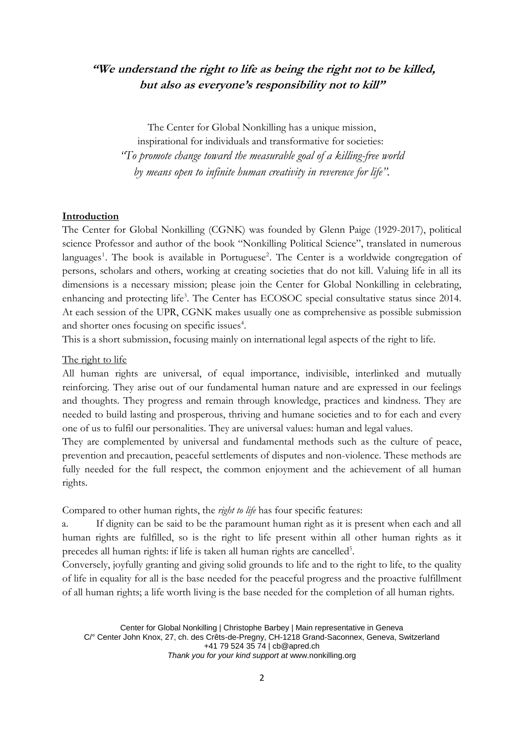### **"We understand the right to life as being the right not to be killed, but also as everyone's responsibility not to kill"**

The Center for Global Nonkilling has a unique mission,

inspirational for individuals and transformative for societies: *"To promote change toward the measurable goal of a killing-free world by means open to infinite human creativity in reverence for life".*

#### **Introduction**

The Center for Global Nonkilling (CGNK) was founded by Glenn Paige (1929-2017), political science Professor and author of the book "Nonkilling Political Science", translated in numerous languages<sup>1</sup>. The book is available in Portuguese<sup>2</sup>. The Center is a worldwide congregation of persons, scholars and others, working at creating societies that do not kill. Valuing life in all its dimensions is a necessary mission; please join the Center for Global Nonkilling in celebrating, enhancing and protecting life<sup>3</sup>. The Center has ECOSOC special consultative status since 2014. At each session of the UPR, CGNK makes usually one as comprehensive as possible submission and shorter ones focusing on specific issues<sup>4</sup>.

This is a short submission, focusing mainly on international legal aspects of the right to life.

#### The right to life

All human rights are universal, of equal importance, indivisible, interlinked and mutually reinforcing. They arise out of our fundamental human nature and are expressed in our feelings and thoughts. They progress and remain through knowledge, practices and kindness. They are needed to build lasting and prosperous, thriving and humane societies and to for each and every one of us to fulfil our personalities. They are universal values: human and legal values.

They are complemented by universal and fundamental methods such as the culture of peace, prevention and precaution, peaceful settlements of disputes and non-violence. These methods are fully needed for the full respect, the common enjoyment and the achievement of all human rights.

Compared to other human rights, the *right to life* has four specific features:

a. If dignity can be said to be the paramount human right as it is present when each and all human rights are fulfilled, so is the right to life present within all other human rights as it precedes all human rights: if life is taken all human rights are cancelled<sup>5</sup>.

Conversely, joyfully granting and giving solid grounds to life and to the right to life, to the quality of life in equality for all is the base needed for the peaceful progress and the proactive fulfillment of all human rights; a life worth living is the base needed for the completion of all human rights.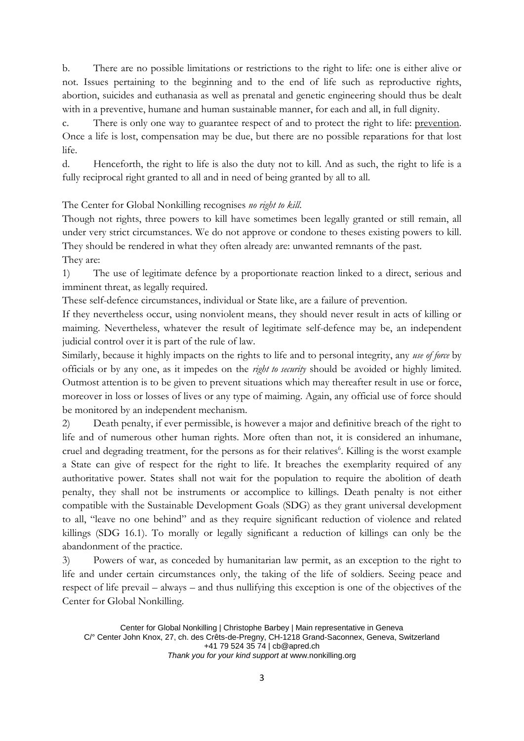b. There are no possible limitations or restrictions to the right to life: one is either alive or not. Issues pertaining to the beginning and to the end of life such as reproductive rights, abortion, suicides and euthanasia as well as prenatal and genetic engineering should thus be dealt with in a preventive, humane and human sustainable manner, for each and all, in full dignity.

c. There is only one way to guarantee respect of and to protect the right to life: prevention. Once a life is lost, compensation may be due, but there are no possible reparations for that lost life.

d. Henceforth, the right to life is also the duty not to kill. And as such, the right to life is a fully reciprocal right granted to all and in need of being granted by all to all.

The Center for Global Nonkilling recognises *no right to kill*.

Though not rights, three powers to kill have sometimes been legally granted or still remain, all under very strict circumstances. We do not approve or condone to theses existing powers to kill. They should be rendered in what they often already are: unwanted remnants of the past. They are:

1) The use of legitimate defence by a proportionate reaction linked to a direct, serious and imminent threat, as legally required.

These self-defence circumstances, individual or State like, are a failure of prevention.

If they nevertheless occur, using nonviolent means, they should never result in acts of killing or maiming. Nevertheless, whatever the result of legitimate self-defence may be, an independent judicial control over it is part of the rule of law.

Similarly, because it highly impacts on the rights to life and to personal integrity, any *use of force* by officials or by any one, as it impedes on the *right to security* should be avoided or highly limited. Outmost attention is to be given to prevent situations which may thereafter result in use or force, moreover in loss or losses of lives or any type of maiming. Again, any official use of force should be monitored by an independent mechanism.

2) Death penalty, if ever permissible, is however a major and definitive breach of the right to life and of numerous other human rights. More often than not, it is considered an inhumane, cruel and degrading treatment, for the persons as for their relatives<sup>6</sup>. Killing is the worst example a State can give of respect for the right to life. It breaches the exemplarity required of any authoritative power. States shall not wait for the population to require the abolition of death penalty, they shall not be instruments or accomplice to killings. Death penalty is not either compatible with the Sustainable Development Goals (SDG) as they grant universal development to all, "leave no one behind" and as they require significant reduction of violence and related killings (SDG 16.1). To morally or legally significant a reduction of killings can only be the abandonment of the practice.

3) Powers of war, as conceded by humanitarian law permit, as an exception to the right to life and under certain circumstances only, the taking of the life of soldiers. Seeing peace and respect of life prevail – always – and thus nullifying this exception is one of the objectives of the Center for Global Nonkilling.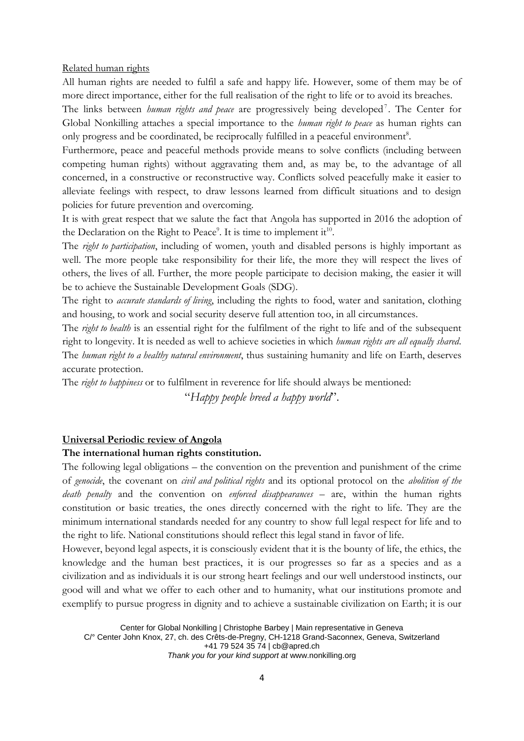Related human rights

All human rights are needed to fulfil a safe and happy life. However, some of them may be of more direct importance, either for the full realisation of the right to life or to avoid its breaches.

The links between *human rights and peace* are progressively being developed<sup>7</sup>. The Center for Global Nonkilling attaches a special importance to the *human right to peace* as human rights can only progress and be coordinated, be reciprocally fulfilled in a peaceful environment<sup>8</sup>.

Furthermore, peace and peaceful methods provide means to solve conflicts (including between competing human rights) without aggravating them and, as may be, to the advantage of all concerned, in a constructive or reconstructive way. Conflicts solved peacefully make it easier to alleviate feelings with respect, to draw lessons learned from difficult situations and to design policies for future prevention and overcoming.

It is with great respect that we salute the fact that Angola has supported in 2016 the adoption of the Declaration on the Right to Peace<sup>9</sup>. It is time to implement it<sup>10</sup>.

The *right to participation*, including of women, youth and disabled persons is highly important as well. The more people take responsibility for their life, the more they will respect the lives of others, the lives of all. Further, the more people participate to decision making, the easier it will be to achieve the Sustainable Development Goals (SDG).

The right to *accurate standards of living*, including the rights to food, water and sanitation, clothing and housing, to work and social security deserve full attention too, in all circumstances.

The *right to health* is an essential right for the fulfilment of the right to life and of the subsequent right to longevity. It is needed as well to achieve societies in which *human rights are all equally shared*. The *human right to a healthy natural environment*, thus sustaining humanity and life on Earth, deserves accurate protection.

The *right to happiness* or to fulfilment in reverence for life should always be mentioned:

"*Happy people breed a happy world*".

#### **Universal Periodic review of Angola**

#### **The international human rights constitution.**

The following legal obligations – the convention on the prevention and punishment of the crime of *genocide*, the covenant on *civil and political rights* and its optional protocol on the *abolition of the death penalty* and the convention on *enforced disappearances* – are, within the human rights constitution or basic treaties, the ones directly concerned with the right to life. They are the minimum international standards needed for any country to show full legal respect for life and to the right to life. National constitutions should reflect this legal stand in favor of life.

However, beyond legal aspects, it is consciously evident that it is the bounty of life, the ethics, the knowledge and the human best practices, it is our progresses so far as a species and as a civilization and as individuals it is our strong heart feelings and our well understood instincts, our good will and what we offer to each other and to humanity, what our institutions promote and exemplify to pursue progress in dignity and to achieve a sustainable civilization on Earth; it is our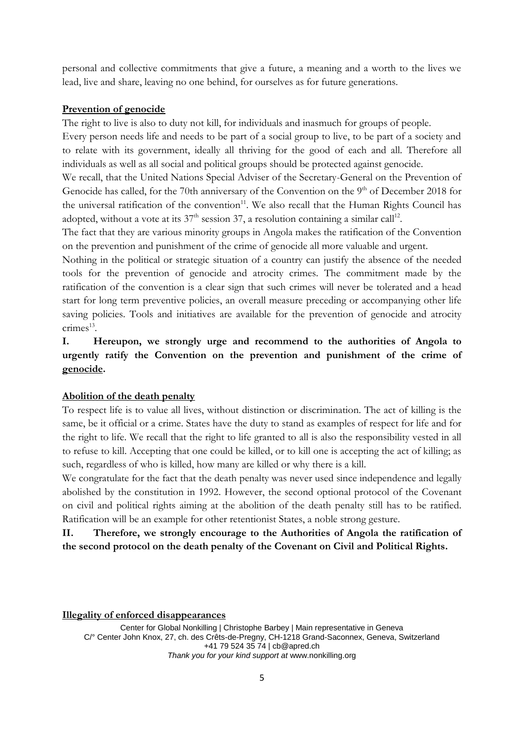personal and collective commitments that give a future, a meaning and a worth to the lives we lead, live and share, leaving no one behind, for ourselves as for future generations.

#### **Prevention of genocide**

The right to live is also to duty not kill, for individuals and inasmuch for groups of people.

Every person needs life and needs to be part of a social group to live, to be part of a society and to relate with its government, ideally all thriving for the good of each and all. Therefore all individuals as well as all social and political groups should be protected against genocide.

We recall, that the United Nations Special Adviser of the Secretary-General on the Prevention of Genocide has called, for the 70th anniversary of the Convention on the 9<sup>th</sup> of December 2018 for the universal ratification of the convention<sup>11</sup>. We also recall that the Human Rights Council has adopted, without a vote at its  $37<sup>th</sup>$  session 37, a resolution containing a similar call<sup>12</sup>.

The fact that they are various minority groups in Angola makes the ratification of the Convention on the prevention and punishment of the crime of genocide all more valuable and urgent.

Nothing in the political or strategic situation of a country can justify the absence of the needed tools for the prevention of genocide and atrocity crimes. The commitment made by the ratification of the convention is a clear sign that such crimes will never be tolerated and a head start for long term preventive policies, an overall measure preceding or accompanying other life saving policies. Tools and initiatives are available for the prevention of genocide and atrocity crimes<sup>13</sup>.

**I. Hereupon, we strongly urge and recommend to the authorities of Angola to urgently ratify the Convention on the prevention and punishment of the crime of genocide.** 

#### **Abolition of the death penalty**

To respect life is to value all lives, without distinction or discrimination. The act of killing is the same, be it official or a crime. States have the duty to stand as examples of respect for life and for the right to life. We recall that the right to life granted to all is also the responsibility vested in all to refuse to kill. Accepting that one could be killed, or to kill one is accepting the act of killing; as such, regardless of who is killed, how many are killed or why there is a kill.

We congratulate for the fact that the death penalty was never used since independence and legally abolished by the constitution in 1992. However, the second optional protocol of the Covenant on civil and political rights aiming at the abolition of the death penalty still has to be ratified. Ratification will be an example for other retentionist States, a noble strong gesture.

**II. Therefore, we strongly encourage to the Authorities of Angola the ratification of the second protocol on the death penalty of the Covenant on Civil and Political Rights.**

**Illegality of enforced disappearances**